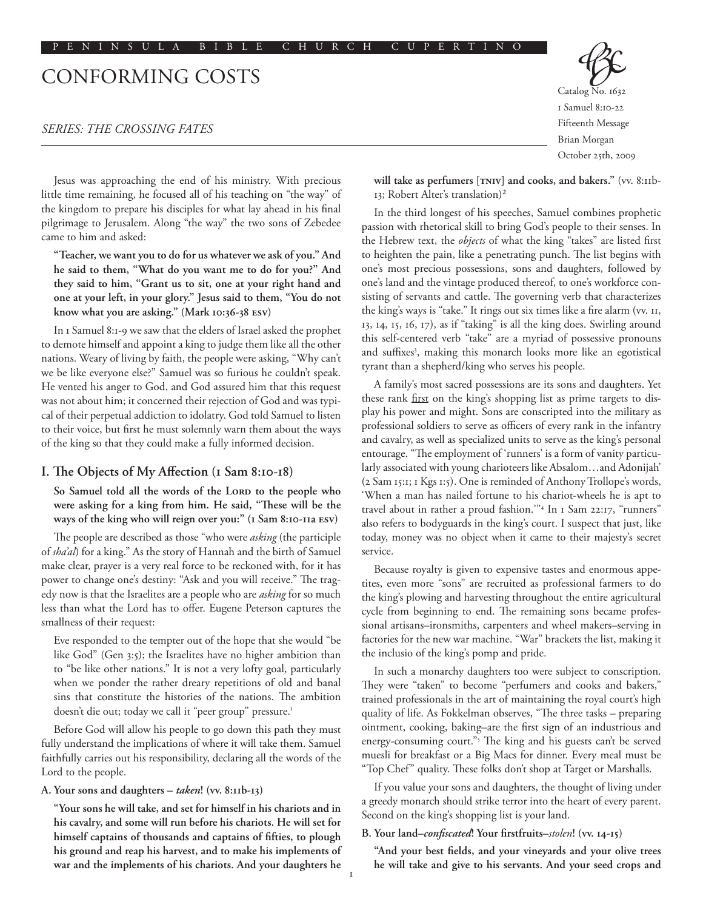# CONFORMING COSTS

## *SERIES: THE CROSSING FATES*

Jesus was approaching the end of his ministry. With precious little time remaining, he focused all of his teaching on "the way" of the kingdom to prepare his disciples for what lay ahead in his final pilgrimage to Jerusalem. Along "the way" the two sons of Zebedee came to him and asked:

**"Teacher, we want you to do for us whatever we ask of you." And he said to them, "What do you want me to do for you?" And they said to him, "Grant us to sit, one at your right hand and one at your left, in your glory." Jesus said to them, "You do not know what you are asking." (Mark 10:36-38 esv)**

In 1 Samuel 8:1-9 we saw that the elders of Israel asked the prophet to demote himself and appoint a king to judge them like all the other nations. Weary of living by faith, the people were asking, "Why can't we be like everyone else?" Samuel was so furious he couldn't speak. He vented his anger to God, and God assured him that this request was not about him; it concerned their rejection of God and was typical of their perpetual addiction to idolatry. God told Samuel to listen to their voice, but first he must solemnly warn them about the ways of the king so that they could make a fully informed decision.

## **I. The Objects of My Affection (1 Sam 8:10-18)**

So Samuel told all the words of the LORD to the people who **were asking for a king from him. He said, "These will be the ways of the king who will reign over you:" (1 Sam 8:10-11a esv)**

The people are described as those "who were *asking* (the participle of *sha'al*) for a king." As the story of Hannah and the birth of Samuel make clear, prayer is a very real force to be reckoned with, for it has power to change one's destiny: "Ask and you will receive." The tragedy now is that the Israelites are a people who are *asking* for so much less than what the Lord has to offer. Eugene Peterson captures the smallness of their request:

Eve responded to the tempter out of the hope that she would "be like God" (Gen 3:5); the Israelites have no higher ambition than to "be like other nations." It is not a very lofty goal, particularly when we ponder the rather dreary repetitions of old and banal sins that constitute the histories of the nations. The ambition doesn't die out; today we call it "peer group" pressure.<sup>1</sup>

Before God will allow his people to go down this path they must fully understand the implications of where it will take them. Samuel faithfully carries out his responsibility, declaring all the words of the Lord to the people.

#### **A. Your sons and daughters –** *taken***! (vv. 8:11b-13)**

**"Your sons he will take, and set for himself in his chariots and in his cavalry, and some will run before his chariots. He will set for himself captains of thousands and captains of fifties, to plough his ground and reap his harvest, and to make his implements of war and the implements of his chariots. And your daughters he** 

Catalog No. 1632 1 Samuel 8:10-22 Fifteenth Message Brian Morgan October 25th, 2009

**will take as perfumers [tniv] and cooks, and bakers."** (vv. 8:11b- 13; Robert Alter's translation)2

In the third longest of his speeches, Samuel combines prophetic passion with rhetorical skill to bring God's people to their senses. In the Hebrew text, the *objects* of what the king "takes" are listed first to heighten the pain, like a penetrating punch. The list begins with one's most precious possessions, sons and daughters, followed by one's land and the vintage produced thereof, to one's workforce consisting of servants and cattle. The governing verb that characterizes the king's ways is "take." It rings out six times like a fire alarm (vv. 11, 13, 14, 15, 16, 17), as if "taking" is all the king does. Swirling around this self-centered verb "take" are a myriad of possessive pronouns and suffixes<sup>3</sup>, making this monarch looks more like an egotistical tyrant than a shepherd/king who serves his people.

A family's most sacred possessions are its sons and daughters. Yet these rank first on the king's shopping list as prime targets to display his power and might. Sons are conscripted into the military as professional soldiers to serve as officers of every rank in the infantry and cavalry, as well as specialized units to serve as the king's personal entourage. "The employment of 'runners' is a form of vanity particularly associated with young charioteers like Absalom…and Adonijah' (2 Sam 15:1; 1 Kgs 1:5). One is reminded of Anthony Trollope's words, 'When a man has nailed fortune to his chariot-wheels he is apt to travel about in rather a proud fashion.'"4 In 1 Sam 22:17, "runners" also refers to bodyguards in the king's court. I suspect that just, like today, money was no object when it came to their majesty's secret service.

Because royalty is given to expensive tastes and enormous appetites, even more "sons" are recruited as professional farmers to do the king's plowing and harvesting throughout the entire agricultural cycle from beginning to end. The remaining sons became professional artisans–ironsmiths, carpenters and wheel makers–serving in factories for the new war machine. "War" brackets the list, making it the inclusio of the king's pomp and pride.

In such a monarchy daughters too were subject to conscription. They were "taken" to become "perfumers and cooks and bakers," trained professionals in the art of maintaining the royal court's high quality of life. As Fokkelman observes, "The three tasks – preparing ointment, cooking, baking–are the first sign of an industrious and energy-consuming court."5 The king and his guests can't be served muesli for breakfast or a Big Macs for dinner. Every meal must be "Top Chef" quality. These folks don't shop at Target or Marshalls.

If you value your sons and daughters, the thought of living under a greedy monarch should strike terror into the heart of every parent. Second on the king's shopping list is your land.

#### **B. Your land–***confiscated***! Your firstfruits–***stolen***! (vv. 14-15)**

**"And your best fields, and your vineyards and your olive trees he will take and give to his servants. And your seed crops and**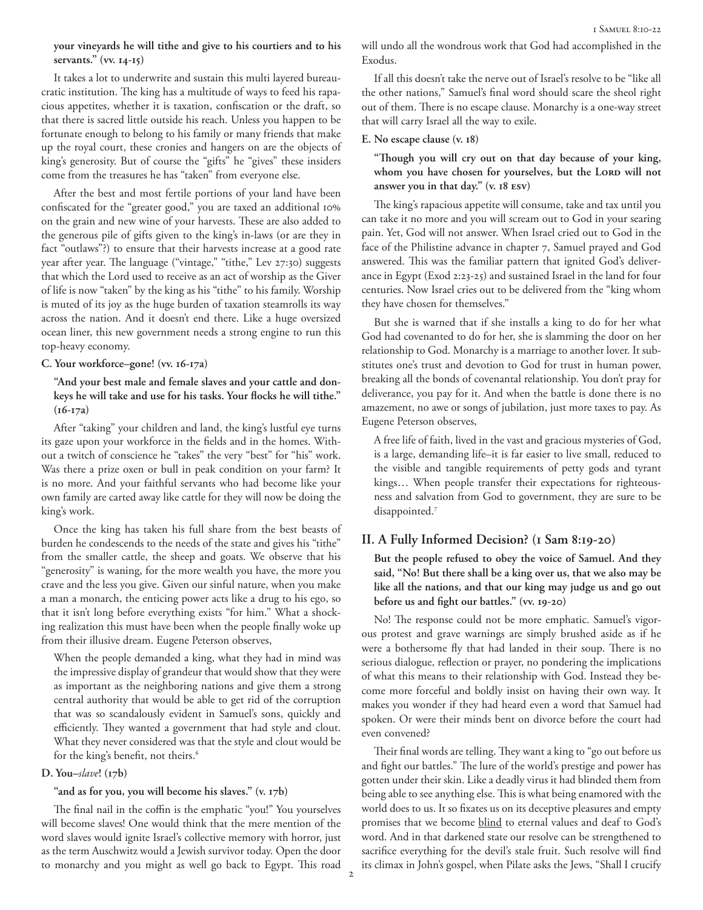# **your vineyards he will tithe and give to his courtiers and to his servants." (vv. 14-15)**

It takes a lot to underwrite and sustain this multi layered bureaucratic institution. The king has a multitude of ways to feed his rapacious appetites, whether it is taxation, confiscation or the draft, so that there is sacred little outside his reach. Unless you happen to be fortunate enough to belong to his family or many friends that make up the royal court, these cronies and hangers on are the objects of king's generosity. But of course the "gifts" he "gives" these insiders come from the treasures he has "taken" from everyone else.

After the best and most fertile portions of your land have been confiscated for the "greater good," you are taxed an additional 10% on the grain and new wine of your harvests. These are also added to the generous pile of gifts given to the king's in-laws (or are they in fact "outlaws"?) to ensure that their harvests increase at a good rate year after year. The language ("vintage," "tithe," Lev 27:30) suggests that which the Lord used to receive as an act of worship as the Giver of life is now "taken" by the king as his "tithe" to his family. Worship is muted of its joy as the huge burden of taxation steamrolls its way across the nation. And it doesn't end there. Like a huge oversized ocean liner, this new government needs a strong engine to run this top-heavy economy.

## **C. Your workforce–gone! (vv. 16-17a)**

**"And your best male and female slaves and your cattle and donkeys he will take and use for his tasks. Your flocks he will tithe." (16-17a)**

After "taking" your children and land, the king's lustful eye turns its gaze upon your workforce in the fields and in the homes. Without a twitch of conscience he "takes" the very "best" for "his" work. Was there a prize oxen or bull in peak condition on your farm? It is no more. And your faithful servants who had become like your own family are carted away like cattle for they will now be doing the king's work.

Once the king has taken his full share from the best beasts of burden he condescends to the needs of the state and gives his "tithe" from the smaller cattle, the sheep and goats. We observe that his "generosity" is waning, for the more wealth you have, the more you crave and the less you give. Given our sinful nature, when you make a man a monarch, the enticing power acts like a drug to his ego, so that it isn't long before everything exists "for him." What a shocking realization this must have been when the people finally woke up from their illusive dream. Eugene Peterson observes,

When the people demanded a king, what they had in mind was the impressive display of grandeur that would show that they were as important as the neighboring nations and give them a strong central authority that would be able to get rid of the corruption that was so scandalously evident in Samuel's sons, quickly and efficiently. They wanted a government that had style and clout. What they never considered was that the style and clout would be for the king's benefit, not theirs.<sup>6</sup>

#### **D. You–***slave***! (17b)**

## **"and as for you, you will become his slaves." (v. 17b)**

The final nail in the coffin is the emphatic "you!" You yourselves will become slaves! One would think that the mere mention of the word slaves would ignite Israel's collective memory with horror, just as the term Auschwitz would a Jewish survivor today. Open the door to monarchy and you might as well go back to Egypt. This road will undo all the wondrous work that God had accomplished in the Exodus.

If all this doesn't take the nerve out of Israel's resolve to be "like all the other nations," Samuel's final word should scare the sheol right out of them. There is no escape clause. Monarchy is a one-way street that will carry Israel all the way to exile.

## **E. No escape clause (v. 18)**

**"Though you will cry out on that day because of your king,**  whom you have chosen for yourselves, but the LORD will not **answer you in that day." (v. 18 esv)**

The king's rapacious appetite will consume, take and tax until you can take it no more and you will scream out to God in your searing pain. Yet, God will not answer. When Israel cried out to God in the face of the Philistine advance in chapter 7, Samuel prayed and God answered. This was the familiar pattern that ignited God's deliverance in Egypt (Exod 2:23-25) and sustained Israel in the land for four centuries. Now Israel cries out to be delivered from the "king whom they have chosen for themselves."

But she is warned that if she installs a king to do for her what God had covenanted to do for her, she is slamming the door on her relationship to God. Monarchy is a marriage to another lover. It substitutes one's trust and devotion to God for trust in human power, breaking all the bonds of covenantal relationship. You don't pray for deliverance, you pay for it. And when the battle is done there is no amazement, no awe or songs of jubilation, just more taxes to pay. As Eugene Peterson observes,

A free life of faith, lived in the vast and gracious mysteries of God, is a large, demanding life–it is far easier to live small, reduced to the visible and tangible requirements of petty gods and tyrant kings… When people transfer their expectations for righteousness and salvation from God to government, they are sure to be disappointed.7

# **II. A Fully Informed Decision? (1 Sam 8:19-20)**

**But the people refused to obey the voice of Samuel. And they said, "No! But there shall be a king over us, that we also may be like all the nations, and that our king may judge us and go out before us and fight our battles." (vv. 19-20)**

No! The response could not be more emphatic. Samuel's vigorous protest and grave warnings are simply brushed aside as if he were a bothersome fly that had landed in their soup. There is no serious dialogue, reflection or prayer, no pondering the implications of what this means to their relationship with God. Instead they become more forceful and boldly insist on having their own way. It makes you wonder if they had heard even a word that Samuel had spoken. Or were their minds bent on divorce before the court had even convened?

Their final words are telling. They want a king to "go out before us and fight our battles." The lure of the world's prestige and power has gotten under their skin. Like a deadly virus it had blinded them from being able to see anything else. This is what being enamored with the world does to us. It so fixates us on its deceptive pleasures and empty promises that we become blind to eternal values and deaf to God's word. And in that darkened state our resolve can be strengthened to sacrifice everything for the devil's stale fruit. Such resolve will find its climax in John's gospel, when Pilate asks the Jews, "Shall I crucify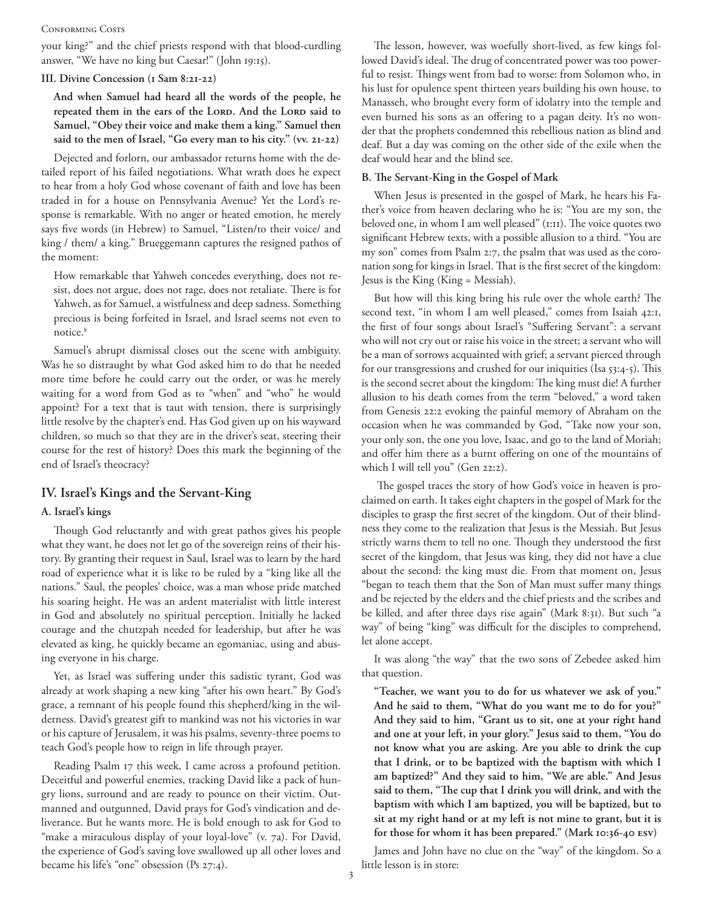#### CONFORMING COSTS

your king?" and the chief priests respond with that blood-curdling answer, "We have no king but Caesar!" (John 19:15).

## **III. Divine Concession (1 Sam 8:21-22)**

**And when Samuel had heard all the words of the people, he**  repeated them in the ears of the LORD. And the LORD said to **Samuel, "Obey their voice and make them a king." Samuel then said to the men of Israel, "Go every man to his city." (vv. 21-22)**

Dejected and forlorn, our ambassador returns home with the detailed report of his failed negotiations. What wrath does he expect to hear from a holy God whose covenant of faith and love has been traded in for a house on Pennsylvania Avenue? Yet the Lord's response is remarkable. With no anger or heated emotion, he merely says five words (in Hebrew) to Samuel, "Listen/to their voice/ and king / them/ a king." Brueggemann captures the resigned pathos of the moment:

How remarkable that Yahweh concedes everything, does not resist, does not argue, does not rage, does not retaliate. There is for Yahweh, as for Samuel, a wistfulness and deep sadness. Something precious is being forfeited in Israel, and Israel seems not even to notice.<sup>8</sup>

Samuel's abrupt dismissal closes out the scene with ambiguity. Was he so distraught by what God asked him to do that he needed more time before he could carry out the order, or was he merely waiting for a word from God as to "when" and "who" he would appoint? For a text that is taut with tension, there is surprisingly little resolve by the chapter's end. Has God given up on his wayward children, so much so that they are in the driver's seat, steering their course for the rest of history? Does this mark the beginning of the end of Israel's theocracy?

# **IV. Israel's Kings and the Servant-King**

# **A. Israel's kings**

Though God reluctantly and with great pathos gives his people what they want, he does not let go of the sovereign reins of their history. By granting their request in Saul, Israel was to learn by the hard road of experience what it is like to be ruled by a "king like all the nations." Saul, the peoples' choice, was a man whose pride matched his soaring height. He was an ardent materialist with little interest in God and absolutely no spiritual perception. Initially he lacked courage and the chutzpah needed for leadership, but after he was elevated as king, he quickly became an egomaniac, using and abusing everyone in his charge.

Yet, as Israel was suffering under this sadistic tyrant, God was already at work shaping a new king "after his own heart." By God's grace, a remnant of his people found this shepherd/king in the wilderness. David's greatest gift to mankind was not his victories in war or his capture of Jerusalem, it was his psalms, seventy-three poems to teach God's people how to reign in life through prayer.

Reading Psalm 17 this week, I came across a profound petition. Deceitful and powerful enemies, tracking David like a pack of hungry lions, surround and are ready to pounce on their victim. Outmanned and outgunned, David prays for God's vindication and deliverance. But he wants more. He is bold enough to ask for God to "make a miraculous display of your loyal-love" (v. 7a). For David, the experience of God's saving love swallowed up all other loves and became his life's "one" obsession (Ps 27:4).

The lesson, however, was woefully short-lived, as few kings followed David's ideal. The drug of concentrated power was too powerful to resist. Things went from bad to worse: from Solomon who, in his lust for opulence spent thirteen years building his own house, to Manasseh, who brought every form of idolatry into the temple and even burned his sons as an offering to a pagan deity. It's no wonder that the prophets condemned this rebellious nation as blind and deaf. But a day was coming on the other side of the exile when the deaf would hear and the blind see.

#### **B. The Servant-King in the Gospel of Mark**

When Jesus is presented in the gospel of Mark, he hears his Father's voice from heaven declaring who he is: "You are my son, the beloved one, in whom I am well pleased" (1:11). The voice quotes two significant Hebrew texts, with a possible allusion to a third. "You are my son" comes from Psalm 2:7, the psalm that was used as the coronation song for kings in Israel. That is the first secret of the kingdom: Jesus is the King (King = Messiah).

But how will this king bring his rule over the whole earth? The second text, "in whom I am well pleased," comes from Isaiah 42:1, the first of four songs about Israel's "Suffering Servant": a servant who will not cry out or raise his voice in the street; a servant who will be a man of sorrows acquainted with grief; a servant pierced through for our transgressions and crushed for our iniquities (Isa 53:4-5). This is the second secret about the kingdom: The king must die! A further allusion to his death comes from the term "beloved," a word taken from Genesis 22:2 evoking the painful memory of Abraham on the occasion when he was commanded by God, "Take now your son, your only son, the one you love, Isaac, and go to the land of Moriah; and offer him there as a burnt offering on one of the mountains of which I will tell you" (Gen 22:2).

 The gospel traces the story of how God's voice in heaven is proclaimed on earth. It takes eight chapters in the gospel of Mark for the disciples to grasp the first secret of the kingdom. Out of their blindness they come to the realization that Jesus is the Messiah. But Jesus strictly warns them to tell no one. Though they understood the first secret of the kingdom, that Jesus was king, they did not have a clue about the second: the king must die. From that moment on, Jesus "began to teach them that the Son of Man must suffer many things and be rejected by the elders and the chief priests and the scribes and be killed, and after three days rise again" (Mark 8:31). But such "a way" of being "king" was difficult for the disciples to comprehend, let alone accept.

It was along "the way" that the two sons of Zebedee asked him that question.

**"Teacher, we want you to do for us whatever we ask of you." And he said to them, "What do you want me to do for you?" And they said to him, "Grant us to sit, one at your right hand and one at your left, in your glory." Jesus said to them, "You do not know what you are asking. Are you able to drink the cup that I drink, or to be baptized with the baptism with which I am baptized?" And they said to him, "We are able." And Jesus said to them, "The cup that I drink you will drink, and with the baptism with which I am baptized, you will be baptized, but to sit at my right hand or at my left is not mine to grant, but it is for those for whom it has been prepared." (Mark 10:36-40 esv)**

James and John have no clue on the "way" of the kingdom. So a little lesson is in store: